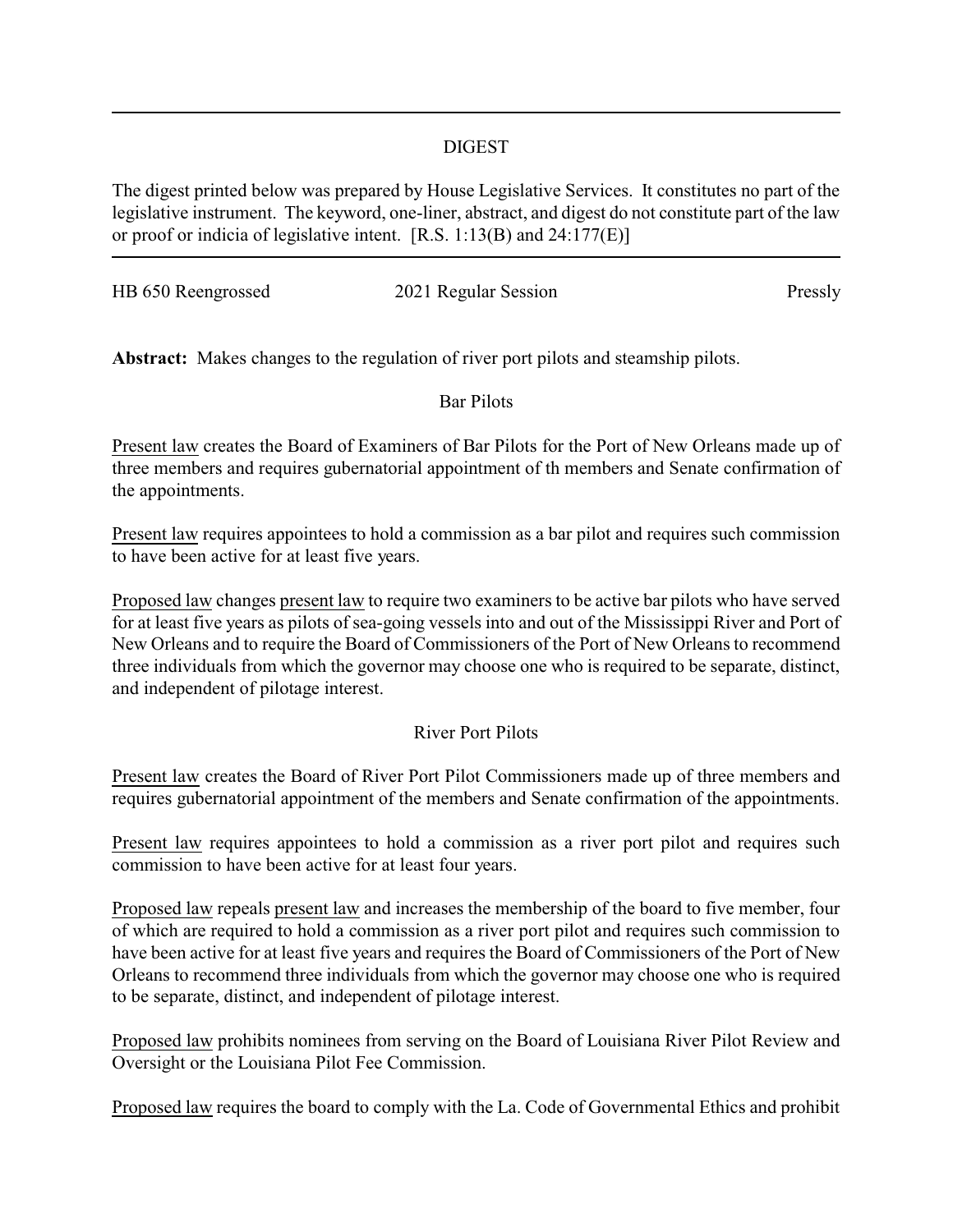#### DIGEST

The digest printed below was prepared by House Legislative Services. It constitutes no part of the legislative instrument. The keyword, one-liner, abstract, and digest do not constitute part of the law or proof or indicia of legislative intent. [R.S. 1:13(B) and 24:177(E)]

| HB 650 Reengrossed | 2021 Regular Session | Pressly |
|--------------------|----------------------|---------|

**Abstract:** Makes changes to the regulation of river port pilots and steamship pilots.

Bar Pilots

Present law creates the Board of Examiners of Bar Pilots for the Port of New Orleans made up of three members and requires gubernatorial appointment of th members and Senate confirmation of the appointments.

Present law requires appointees to hold a commission as a bar pilot and requires such commission to have been active for at least five years.

Proposed law changes present law to require two examiners to be active bar pilots who have served for at least five years as pilots of sea-going vessels into and out of the Mississippi River and Port of New Orleans and to require the Board of Commissioners of the Port of New Orleans to recommend three individuals from which the governor may choose one who is required to be separate, distinct, and independent of pilotage interest.

# River Port Pilots

Present law creates the Board of River Port Pilot Commissioners made up of three members and requires gubernatorial appointment of the members and Senate confirmation of the appointments.

Present law requires appointees to hold a commission as a river port pilot and requires such commission to have been active for at least four years.

Proposed law repeals present law and increases the membership of the board to five member, four of which are required to hold a commission as a river port pilot and requires such commission to have been active for at least five years and requires the Board of Commissioners of the Port of New Orleans to recommend three individuals from which the governor may choose one who is required to be separate, distinct, and independent of pilotage interest.

Proposed law prohibits nominees from serving on the Board of Louisiana River Pilot Review and Oversight or the Louisiana Pilot Fee Commission.

Proposed law requires the board to comply with the La. Code of Governmental Ethics and prohibit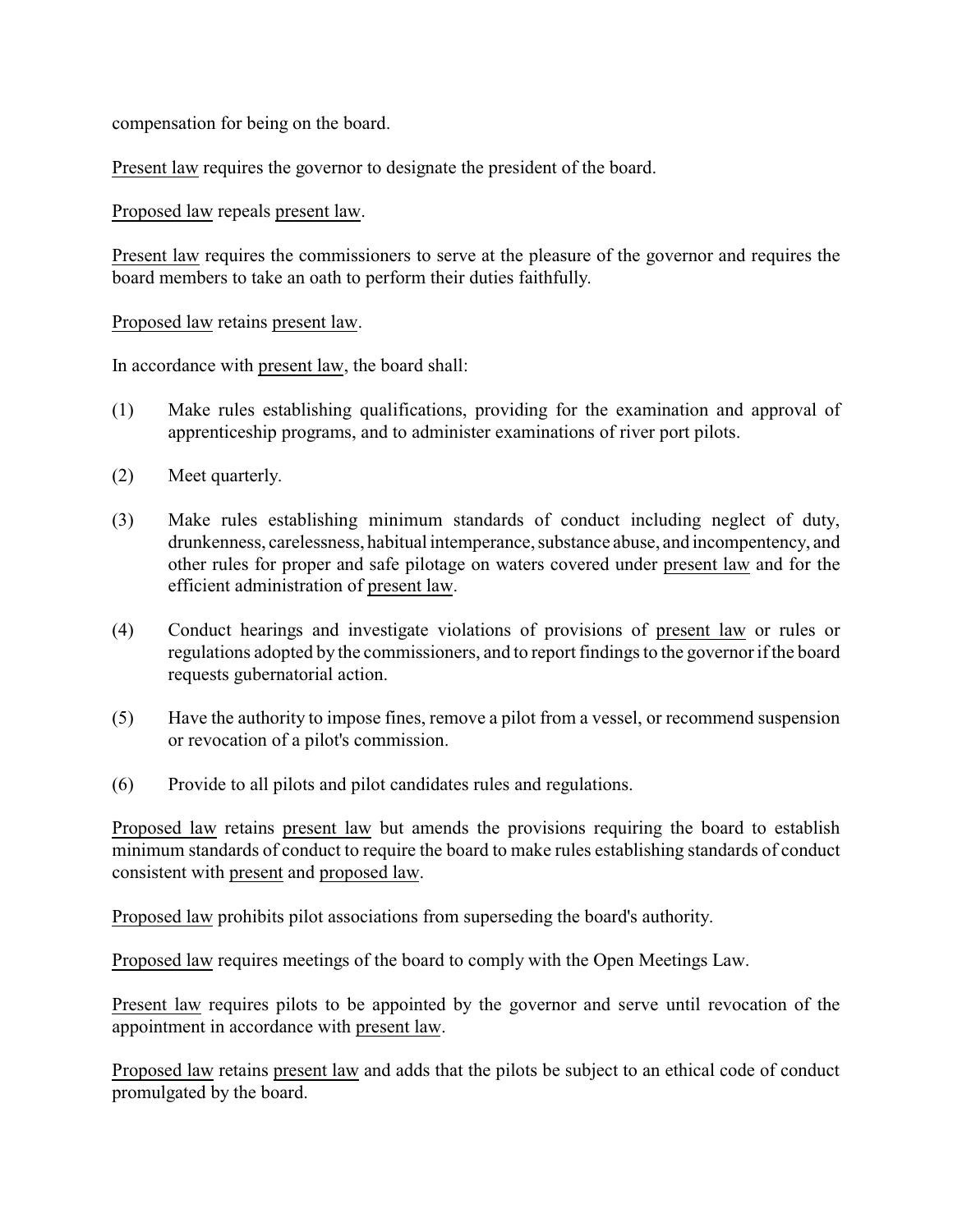compensation for being on the board.

Present law requires the governor to designate the president of the board.

Proposed law repeals present law.

Present law requires the commissioners to serve at the pleasure of the governor and requires the board members to take an oath to perform their duties faithfully.

Proposed law retains present law.

In accordance with present law, the board shall:

- (1) Make rules establishing qualifications, providing for the examination and approval of apprenticeship programs, and to administer examinations of river port pilots.
- (2) Meet quarterly.
- (3) Make rules establishing minimum standards of conduct including neglect of duty, drunkenness, carelessness, habitual intemperance, substance abuse, and incompentency, and other rules for proper and safe pilotage on waters covered under present law and for the efficient administration of present law.
- (4) Conduct hearings and investigate violations of provisions of present law or rules or regulations adopted by the commissioners, and to report findings to the governor if the board requests gubernatorial action.
- (5) Have the authority to impose fines, remove a pilot from a vessel, or recommend suspension or revocation of a pilot's commission.
- (6) Provide to all pilots and pilot candidates rules and regulations.

Proposed law retains present law but amends the provisions requiring the board to establish minimum standards of conduct to require the board to make rules establishing standards of conduct consistent with present and proposed law.

Proposed law prohibits pilot associations from superseding the board's authority.

Proposed law requires meetings of the board to comply with the Open Meetings Law.

Present law requires pilots to be appointed by the governor and serve until revocation of the appointment in accordance with present law.

Proposed law retains present law and adds that the pilots be subject to an ethical code of conduct promulgated by the board.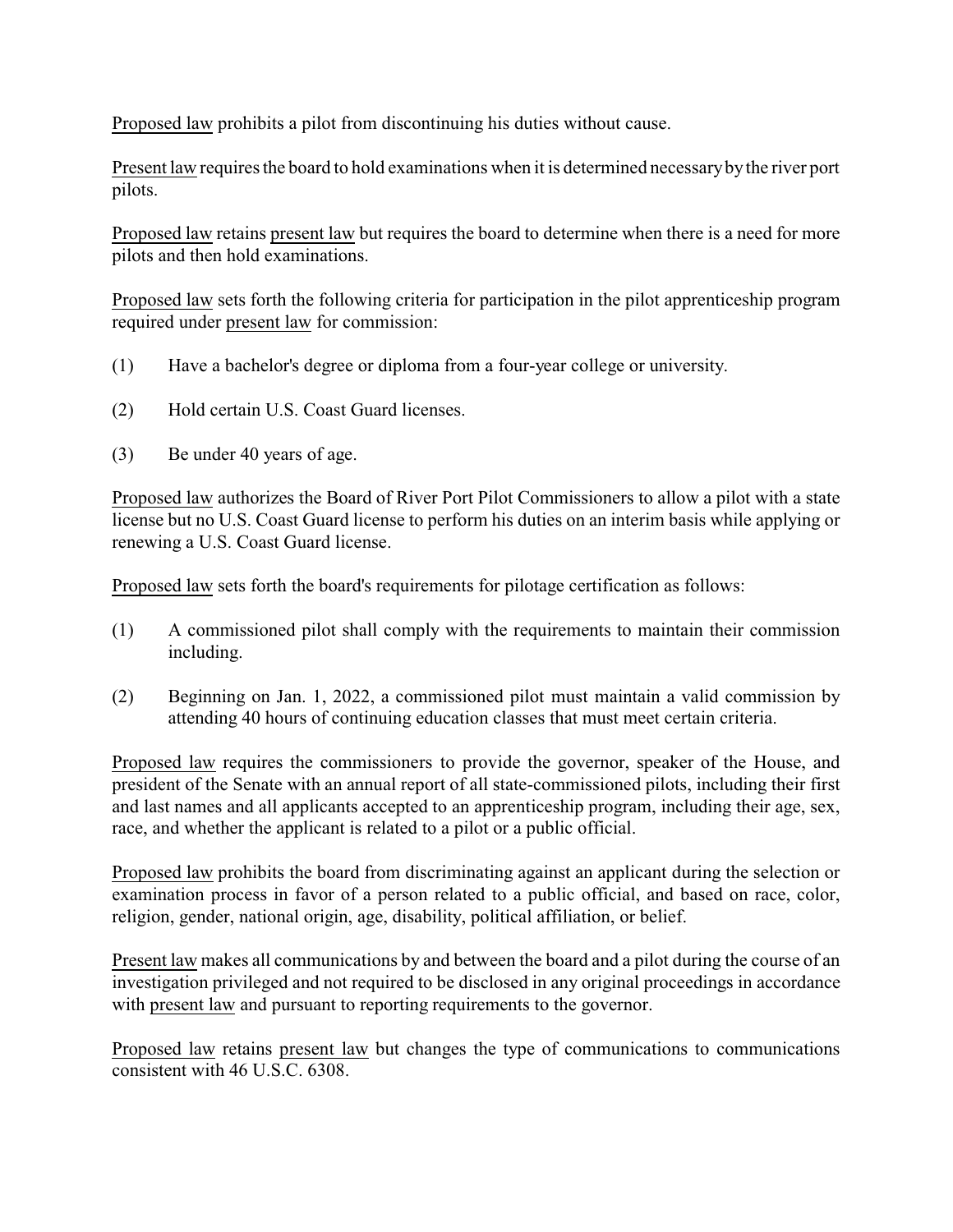Proposed law prohibits a pilot from discontinuing his duties without cause.

Present law requires the board to hold examinations when it is determined necessarybythe river port pilots.

Proposed law retains present law but requires the board to determine when there is a need for more pilots and then hold examinations.

Proposed law sets forth the following criteria for participation in the pilot apprenticeship program required under present law for commission:

- (1) Have a bachelor's degree or diploma from a four-year college or university.
- (2) Hold certain U.S. Coast Guard licenses.
- (3) Be under 40 years of age.

Proposed law authorizes the Board of River Port Pilot Commissioners to allow a pilot with a state license but no U.S. Coast Guard license to perform his duties on an interim basis while applying or renewing a U.S. Coast Guard license.

Proposed law sets forth the board's requirements for pilotage certification as follows:

- (1) A commissioned pilot shall comply with the requirements to maintain their commission including.
- (2) Beginning on Jan. 1, 2022, a commissioned pilot must maintain a valid commission by attending 40 hours of continuing education classes that must meet certain criteria.

Proposed law requires the commissioners to provide the governor, speaker of the House, and president of the Senate with an annual report of all state-commissioned pilots, including their first and last names and all applicants accepted to an apprenticeship program, including their age, sex, race, and whether the applicant is related to a pilot or a public official.

Proposed law prohibits the board from discriminating against an applicant during the selection or examination process in favor of a person related to a public official, and based on race, color, religion, gender, national origin, age, disability, political affiliation, or belief.

Present law makes all communications by and between the board and a pilot during the course of an investigation privileged and not required to be disclosed in any original proceedings in accordance with present law and pursuant to reporting requirements to the governor.

Proposed law retains present law but changes the type of communications to communications consistent with 46 U.S.C. 6308.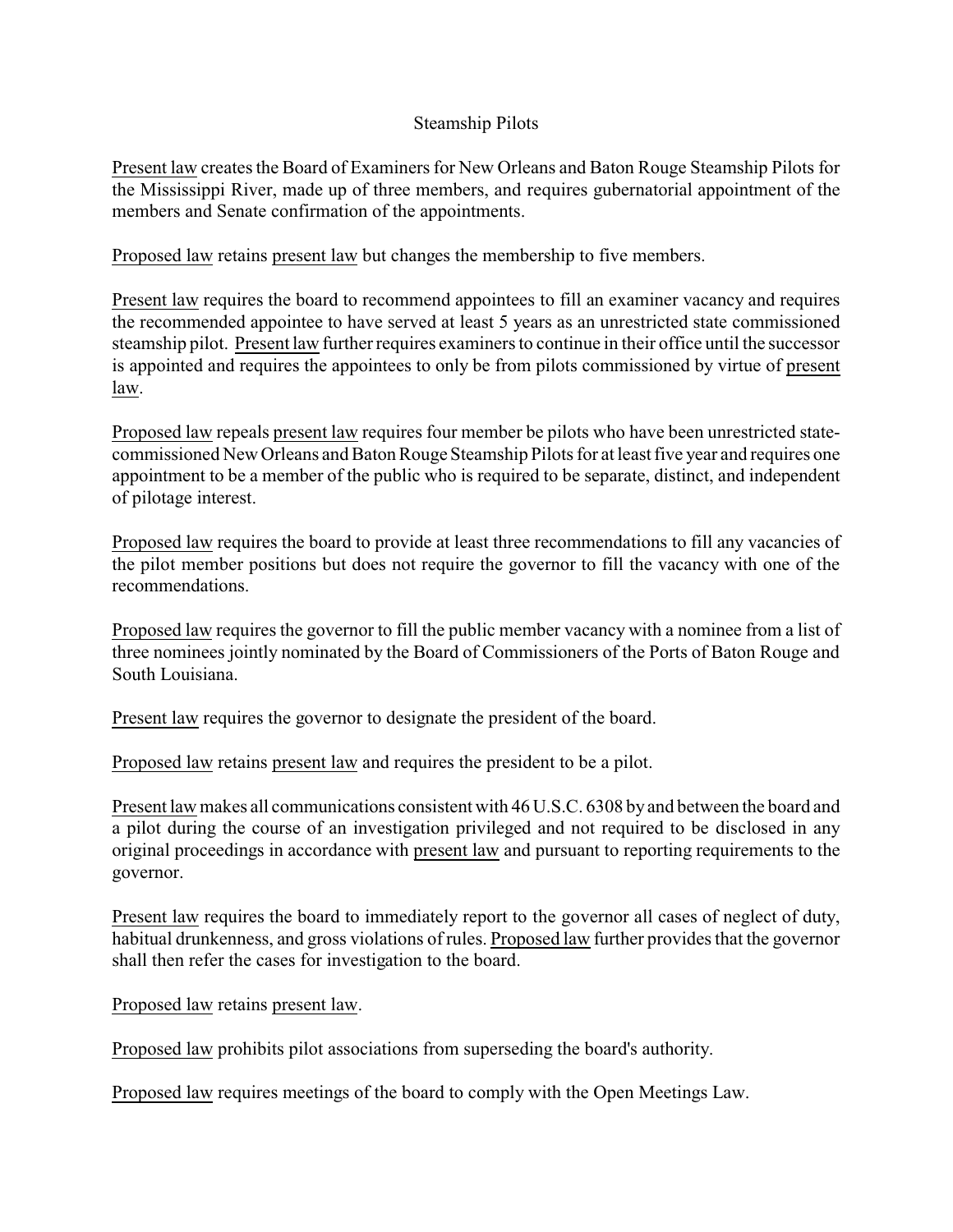### Steamship Pilots

Present law creates the Board of Examiners for New Orleans and Baton Rouge Steamship Pilots for the Mississippi River, made up of three members, and requires gubernatorial appointment of the members and Senate confirmation of the appointments.

Proposed law retains present law but changes the membership to five members.

Present law requires the board to recommend appointees to fill an examiner vacancy and requires the recommended appointee to have served at least 5 years as an unrestricted state commissioned steamship pilot. Present law further requires examiners to continue in their office until the successor is appointed and requires the appointees to only be from pilots commissioned by virtue of present law.

Proposed law repeals present law requires four member be pilots who have been unrestricted statecommissioned New Orleans and Baton Rouge Steamship Pilots for at least five year and requires one appointment to be a member of the public who is required to be separate, distinct, and independent of pilotage interest.

Proposed law requires the board to provide at least three recommendations to fill any vacancies of the pilot member positions but does not require the governor to fill the vacancy with one of the recommendations.

Proposed law requires the governor to fill the public member vacancy with a nominee from a list of three nominees jointly nominated by the Board of Commissioners of the Ports of Baton Rouge and South Louisiana.

Present law requires the governor to designate the president of the board.

Proposed law retains present law and requires the president to be a pilot.

Present law makes all communications consistent with 46 U.S.C. 6308 by and between the board and a pilot during the course of an investigation privileged and not required to be disclosed in any original proceedings in accordance with present law and pursuant to reporting requirements to the governor.

Present law requires the board to immediately report to the governor all cases of neglect of duty, habitual drunkenness, and gross violations of rules. Proposed law further provides that the governor shall then refer the cases for investigation to the board.

Proposed law retains present law.

Proposed law prohibits pilot associations from superseding the board's authority.

Proposed law requires meetings of the board to comply with the Open Meetings Law.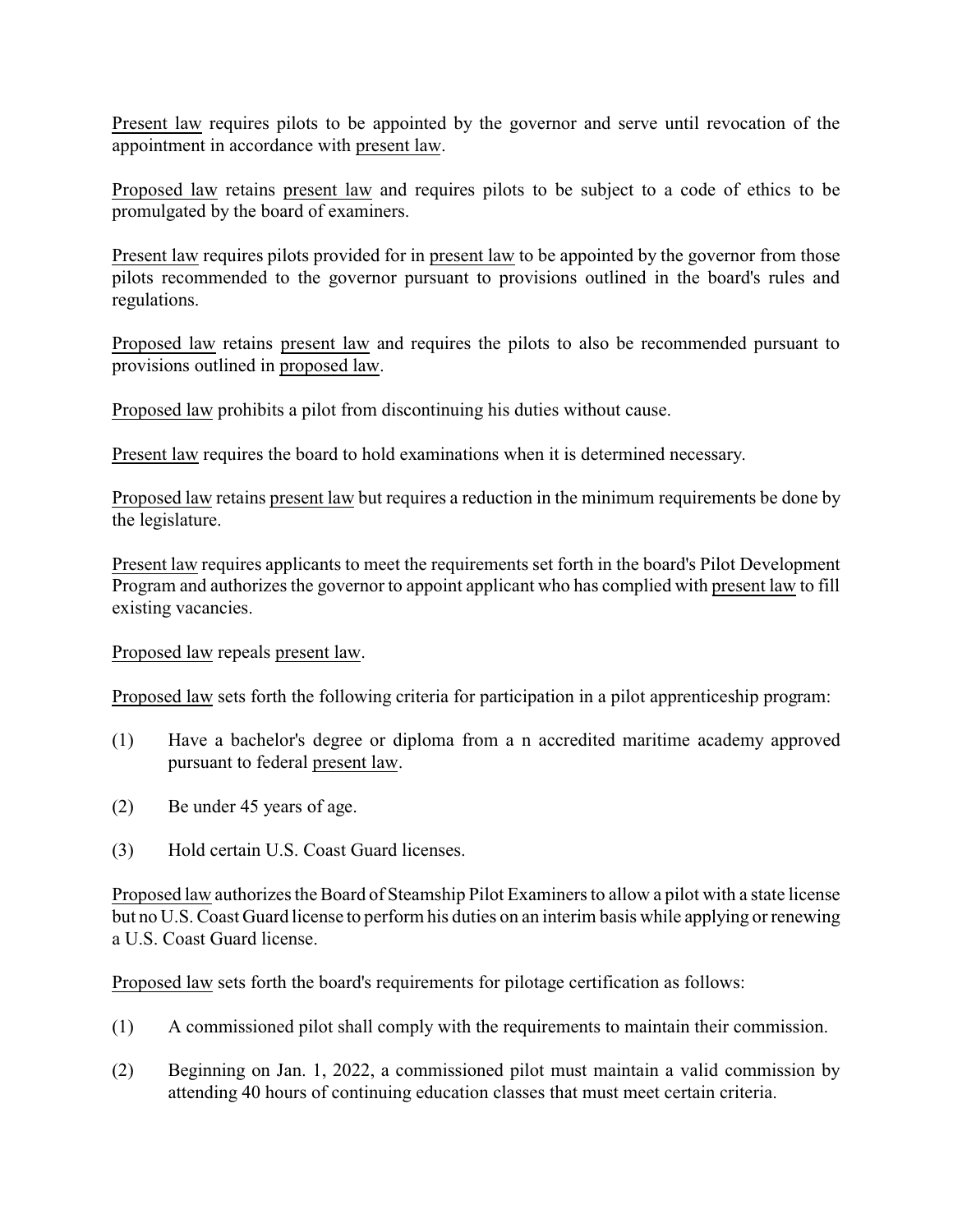Present law requires pilots to be appointed by the governor and serve until revocation of the appointment in accordance with present law.

Proposed law retains present law and requires pilots to be subject to a code of ethics to be promulgated by the board of examiners.

Present law requires pilots provided for in present law to be appointed by the governor from those pilots recommended to the governor pursuant to provisions outlined in the board's rules and regulations.

Proposed law retains present law and requires the pilots to also be recommended pursuant to provisions outlined in proposed law.

Proposed law prohibits a pilot from discontinuing his duties without cause.

Present law requires the board to hold examinations when it is determined necessary.

Proposed law retains present law but requires a reduction in the minimum requirements be done by the legislature.

Present law requires applicants to meet the requirements set forth in the board's Pilot Development Program and authorizes the governor to appoint applicant who has complied with present law to fill existing vacancies.

Proposed law repeals present law.

Proposed law sets forth the following criteria for participation in a pilot apprenticeship program:

- (1) Have a bachelor's degree or diploma from a n accredited maritime academy approved pursuant to federal present law.
- (2) Be under 45 years of age.
- (3) Hold certain U.S. Coast Guard licenses.

Proposed law authorizes the Board of Steamship Pilot Examiners to allow a pilot with a state license but no U.S. Coast Guard license to perform his duties on an interim basis while applying or renewing a U.S. Coast Guard license.

Proposed law sets forth the board's requirements for pilotage certification as follows:

- (1) A commissioned pilot shall comply with the requirements to maintain their commission.
- (2) Beginning on Jan. 1, 2022, a commissioned pilot must maintain a valid commission by attending 40 hours of continuing education classes that must meet certain criteria.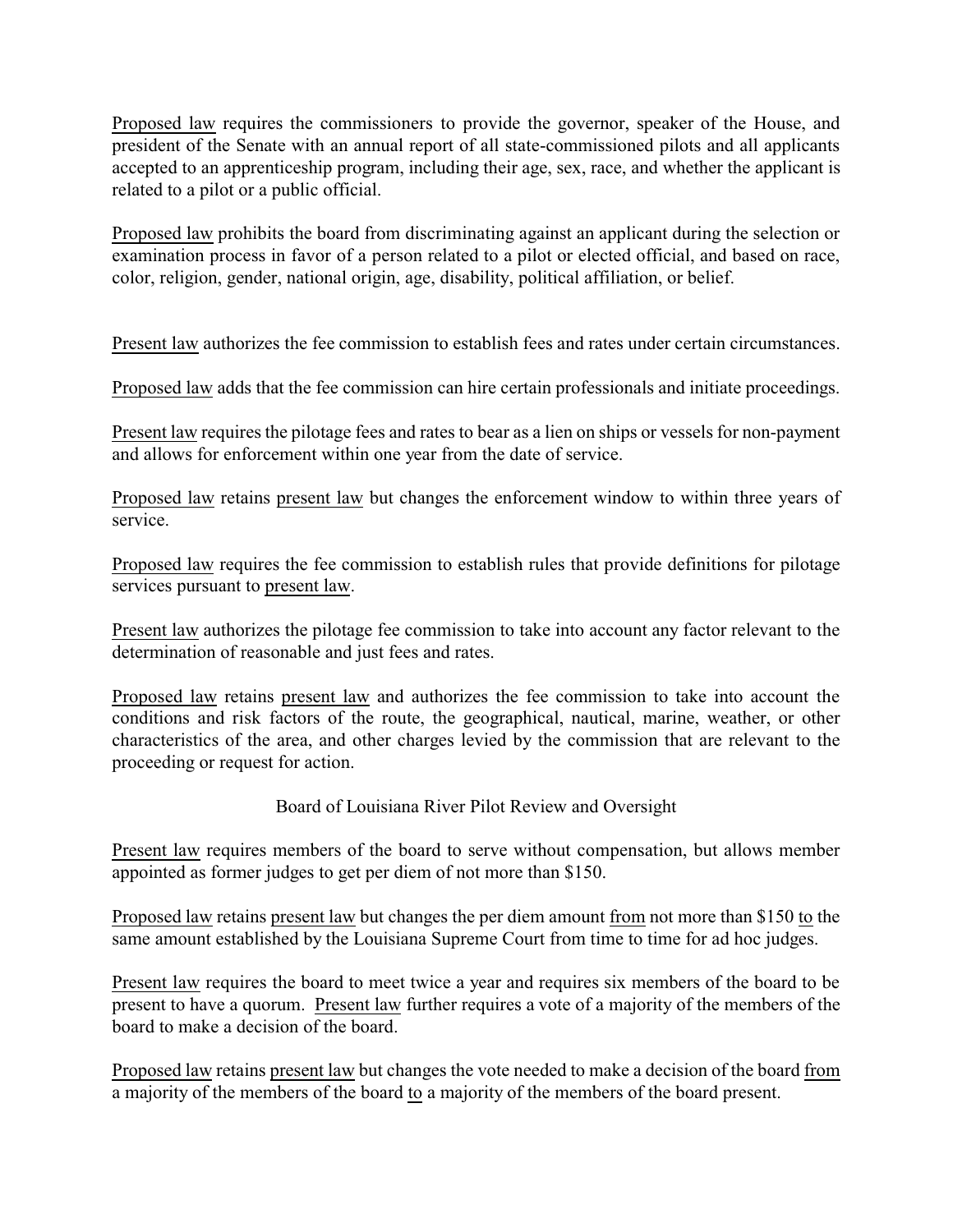Proposed law requires the commissioners to provide the governor, speaker of the House, and president of the Senate with an annual report of all state-commissioned pilots and all applicants accepted to an apprenticeship program, including their age, sex, race, and whether the applicant is related to a pilot or a public official.

Proposed law prohibits the board from discriminating against an applicant during the selection or examination process in favor of a person related to a pilot or elected official, and based on race, color, religion, gender, national origin, age, disability, political affiliation, or belief.

Present law authorizes the fee commission to establish fees and rates under certain circumstances.

Proposed law adds that the fee commission can hire certain professionals and initiate proceedings.

Present law requires the pilotage fees and rates to bear as a lien on ships or vessels for non-payment and allows for enforcement within one year from the date of service.

Proposed law retains present law but changes the enforcement window to within three years of service.

Proposed law requires the fee commission to establish rules that provide definitions for pilotage services pursuant to present law.

Present law authorizes the pilotage fee commission to take into account any factor relevant to the determination of reasonable and just fees and rates.

Proposed law retains present law and authorizes the fee commission to take into account the conditions and risk factors of the route, the geographical, nautical, marine, weather, or other characteristics of the area, and other charges levied by the commission that are relevant to the proceeding or request for action.

# Board of Louisiana River Pilot Review and Oversight

Present law requires members of the board to serve without compensation, but allows member appointed as former judges to get per diem of not more than \$150.

Proposed law retains present law but changes the per diem amount from not more than \$150 to the same amount established by the Louisiana Supreme Court from time to time for ad hoc judges.

Present law requires the board to meet twice a year and requires six members of the board to be present to have a quorum. Present law further requires a vote of a majority of the members of the board to make a decision of the board.

Proposed law retains present law but changes the vote needed to make a decision of the board from a majority of the members of the board to a majority of the members of the board present.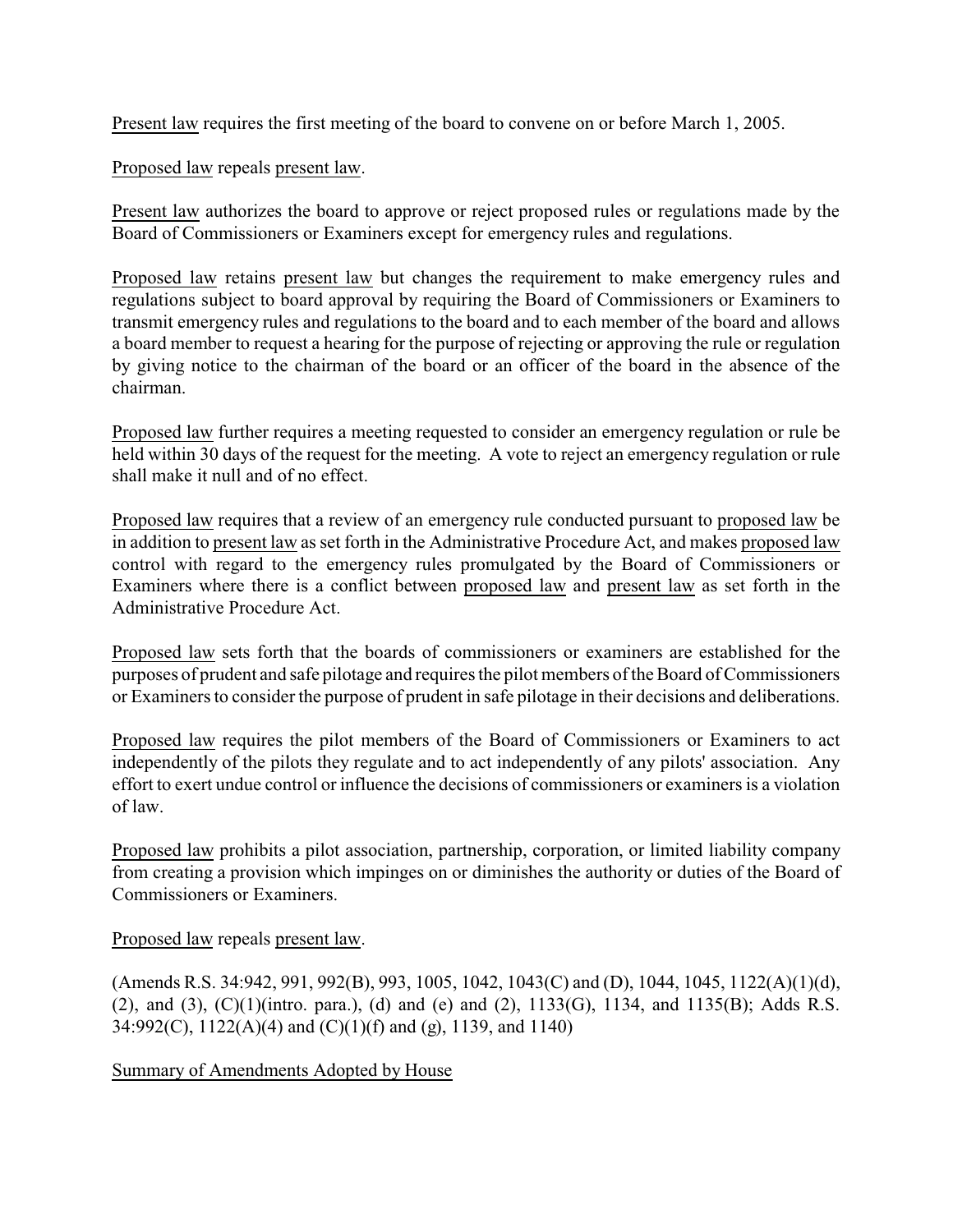Present law requires the first meeting of the board to convene on or before March 1, 2005.

Proposed law repeals present law.

Present law authorizes the board to approve or reject proposed rules or regulations made by the Board of Commissioners or Examiners except for emergency rules and regulations.

Proposed law retains present law but changes the requirement to make emergency rules and regulations subject to board approval by requiring the Board of Commissioners or Examiners to transmit emergency rules and regulations to the board and to each member of the board and allows a board member to request a hearing for the purpose of rejecting or approving the rule or regulation by giving notice to the chairman of the board or an officer of the board in the absence of the chairman.

Proposed law further requires a meeting requested to consider an emergency regulation or rule be held within 30 days of the request for the meeting. A vote to reject an emergency regulation or rule shall make it null and of no effect.

Proposed law requires that a review of an emergency rule conducted pursuant to proposed law be in addition to present law as set forth in the Administrative Procedure Act, and makes proposed law control with regard to the emergency rules promulgated by the Board of Commissioners or Examiners where there is a conflict between proposed law and present law as set forth in the Administrative Procedure Act.

Proposed law sets forth that the boards of commissioners or examiners are established for the purposes of prudent and safe pilotage and requires the pilot members of the Board of Commissioners or Examiners to consider the purpose of prudent in safe pilotage in their decisions and deliberations.

Proposed law requires the pilot members of the Board of Commissioners or Examiners to act independently of the pilots they regulate and to act independently of any pilots' association. Any effort to exert undue control or influence the decisions of commissioners or examiners is a violation of law.

Proposed law prohibits a pilot association, partnership, corporation, or limited liability company from creating a provision which impinges on or diminishes the authority or duties of the Board of Commissioners or Examiners.

Proposed law repeals present law.

(Amends R.S. 34:942, 991, 992(B), 993, 1005, 1042, 1043(C) and (D), 1044, 1045, 1122(A)(1)(d), (2), and (3),  $(C)(1)($ intro. para.), (d) and (e) and (2),  $1133(G)$ ,  $1134$ , and  $1135(B)$ ; Adds R.S. 34:992(C), 1122(A)(4) and (C)(1)(f) and (g), 1139, and 1140)

Summary of Amendments Adopted by House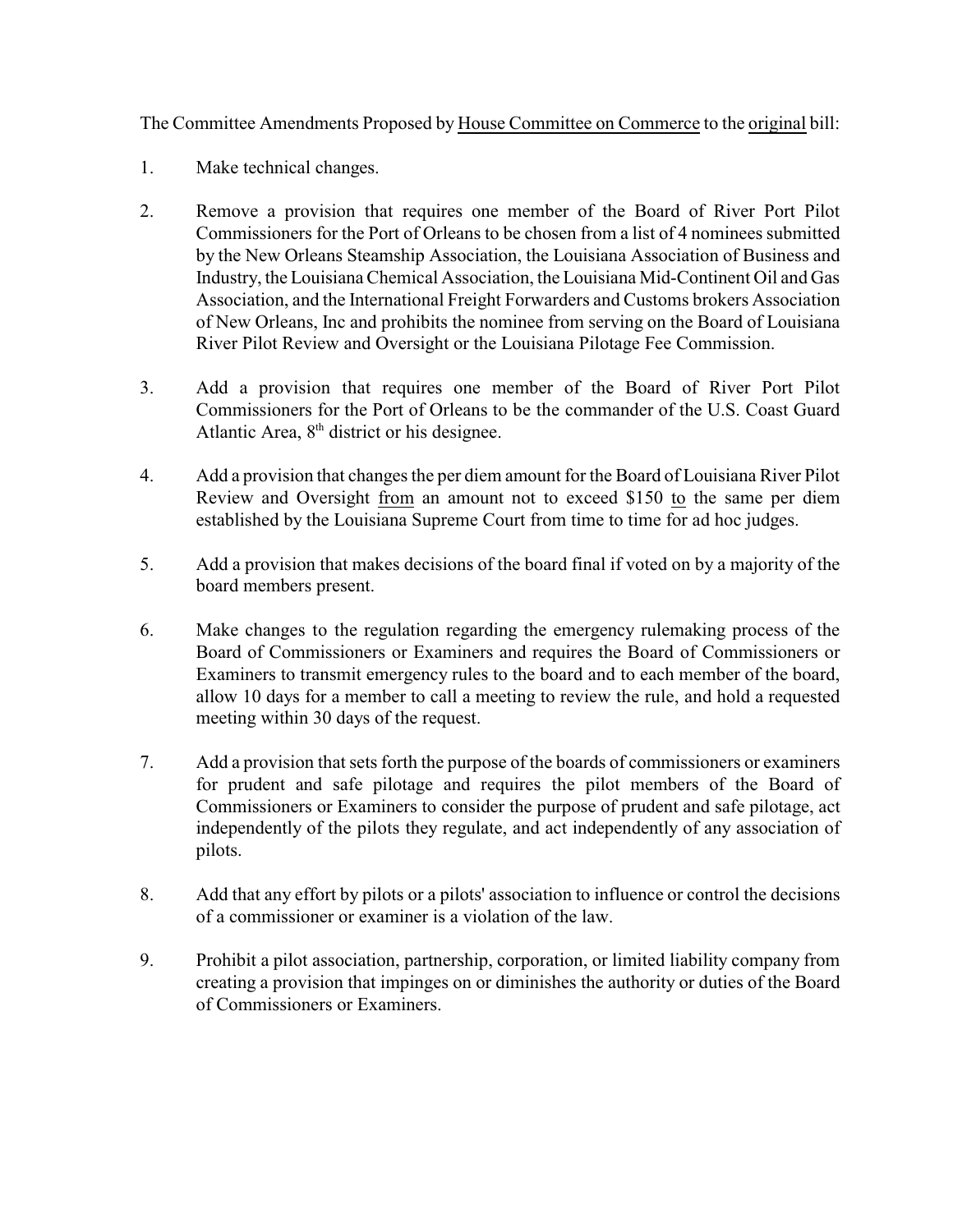The Committee Amendments Proposed by House Committee on Commerce to the original bill:

- 1. Make technical changes.
- 2. Remove a provision that requires one member of the Board of River Port Pilot Commissioners for the Port of Orleans to be chosen from a list of 4 nominees submitted by the New Orleans Steamship Association, the Louisiana Association of Business and Industry, the Louisiana Chemical Association, the Louisiana Mid-Continent Oil and Gas Association, and the International Freight Forwarders and Customs brokers Association of New Orleans, Inc and prohibits the nominee from serving on the Board of Louisiana River Pilot Review and Oversight or the Louisiana Pilotage Fee Commission.
- 3. Add a provision that requires one member of the Board of River Port Pilot Commissioners for the Port of Orleans to be the commander of the U.S. Coast Guard Atlantic Area,  $8<sup>th</sup>$  district or his designee.
- 4. Add a provision that changes the per diem amount for the Board of Louisiana River Pilot Review and Oversight from an amount not to exceed \$150 to the same per diem established by the Louisiana Supreme Court from time to time for ad hoc judges.
- 5. Add a provision that makes decisions of the board final if voted on by a majority of the board members present.
- 6. Make changes to the regulation regarding the emergency rulemaking process of the Board of Commissioners or Examiners and requires the Board of Commissioners or Examiners to transmit emergency rules to the board and to each member of the board, allow 10 days for a member to call a meeting to review the rule, and hold a requested meeting within 30 days of the request.
- 7. Add a provision that sets forth the purpose of the boards of commissioners or examiners for prudent and safe pilotage and requires the pilot members of the Board of Commissioners or Examiners to consider the purpose of prudent and safe pilotage, act independently of the pilots they regulate, and act independently of any association of pilots.
- 8. Add that any effort by pilots or a pilots' association to influence or control the decisions of a commissioner or examiner is a violation of the law.
- 9. Prohibit a pilot association, partnership, corporation, or limited liability company from creating a provision that impinges on or diminishes the authority or duties of the Board of Commissioners or Examiners.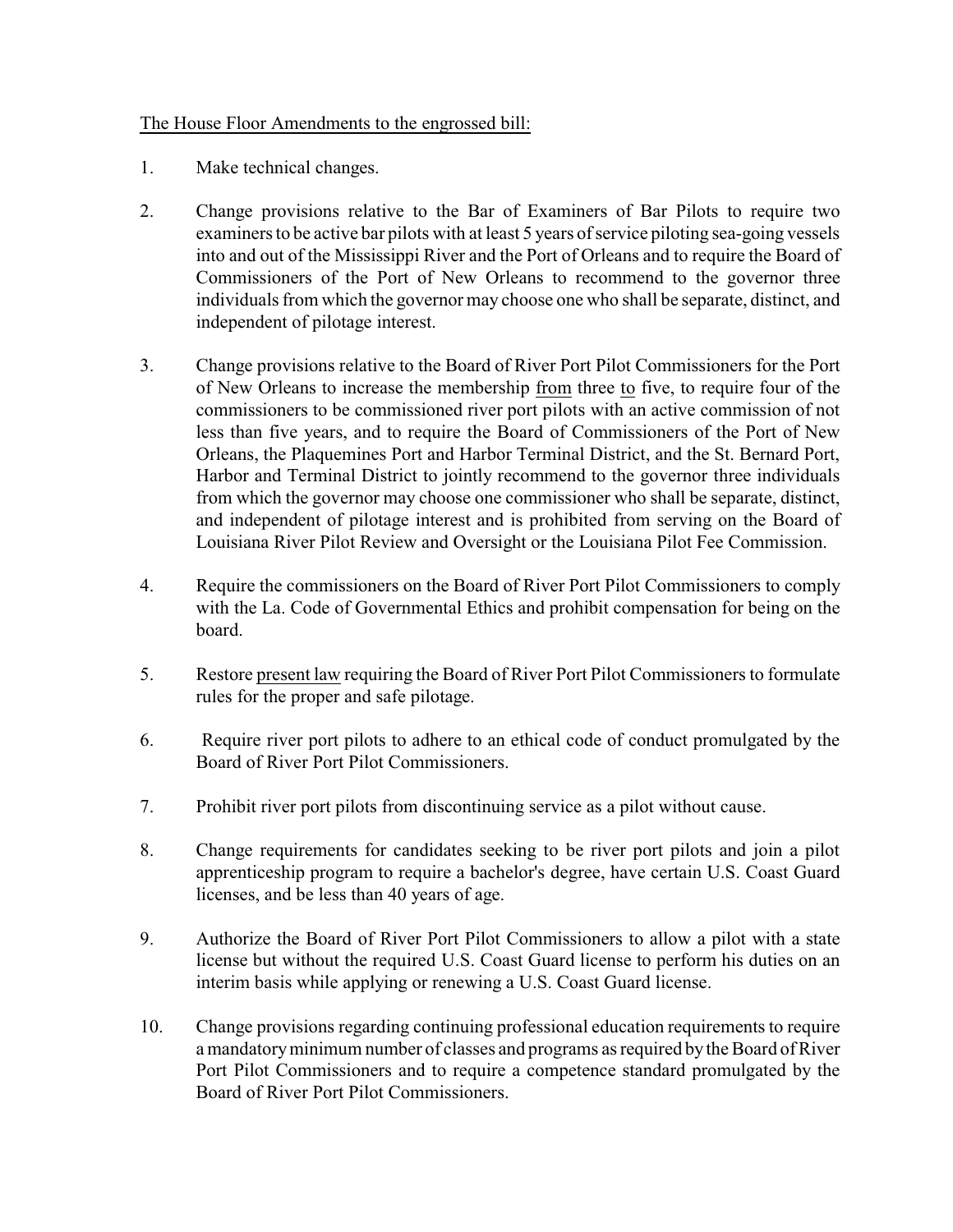# The House Floor Amendments to the engrossed bill:

- 1. Make technical changes.
- 2. Change provisions relative to the Bar of Examiners of Bar Pilots to require two examiners to be active bar pilots with at least 5 years of service piloting sea-going vessels into and out of the Mississippi River and the Port of Orleans and to require the Board of Commissioners of the Port of New Orleans to recommend to the governor three individuals from which the governor may choose one who shall be separate, distinct, and independent of pilotage interest.
- 3. Change provisions relative to the Board of River Port Pilot Commissioners for the Port of New Orleans to increase the membership from three to five, to require four of the commissioners to be commissioned river port pilots with an active commission of not less than five years, and to require the Board of Commissioners of the Port of New Orleans, the Plaquemines Port and Harbor Terminal District, and the St. Bernard Port, Harbor and Terminal District to jointly recommend to the governor three individuals from which the governor may choose one commissioner who shall be separate, distinct, and independent of pilotage interest and is prohibited from serving on the Board of Louisiana River Pilot Review and Oversight or the Louisiana Pilot Fee Commission.
- 4. Require the commissioners on the Board of River Port Pilot Commissioners to comply with the La. Code of Governmental Ethics and prohibit compensation for being on the board.
- 5. Restore present law requiring the Board of River Port Pilot Commissioners to formulate rules for the proper and safe pilotage.
- 6. Require river port pilots to adhere to an ethical code of conduct promulgated by the Board of River Port Pilot Commissioners.
- 7. Prohibit river port pilots from discontinuing service as a pilot without cause.
- 8. Change requirements for candidates seeking to be river port pilots and join a pilot apprenticeship program to require a bachelor's degree, have certain U.S. Coast Guard licenses, and be less than 40 years of age.
- 9. Authorize the Board of River Port Pilot Commissioners to allow a pilot with a state license but without the required U.S. Coast Guard license to perform his duties on an interim basis while applying or renewing a U.S. Coast Guard license.
- 10. Change provisions regarding continuing professional education requirements to require a mandatoryminimum number of classes and programs as required bythe Board of River Port Pilot Commissioners and to require a competence standard promulgated by the Board of River Port Pilot Commissioners.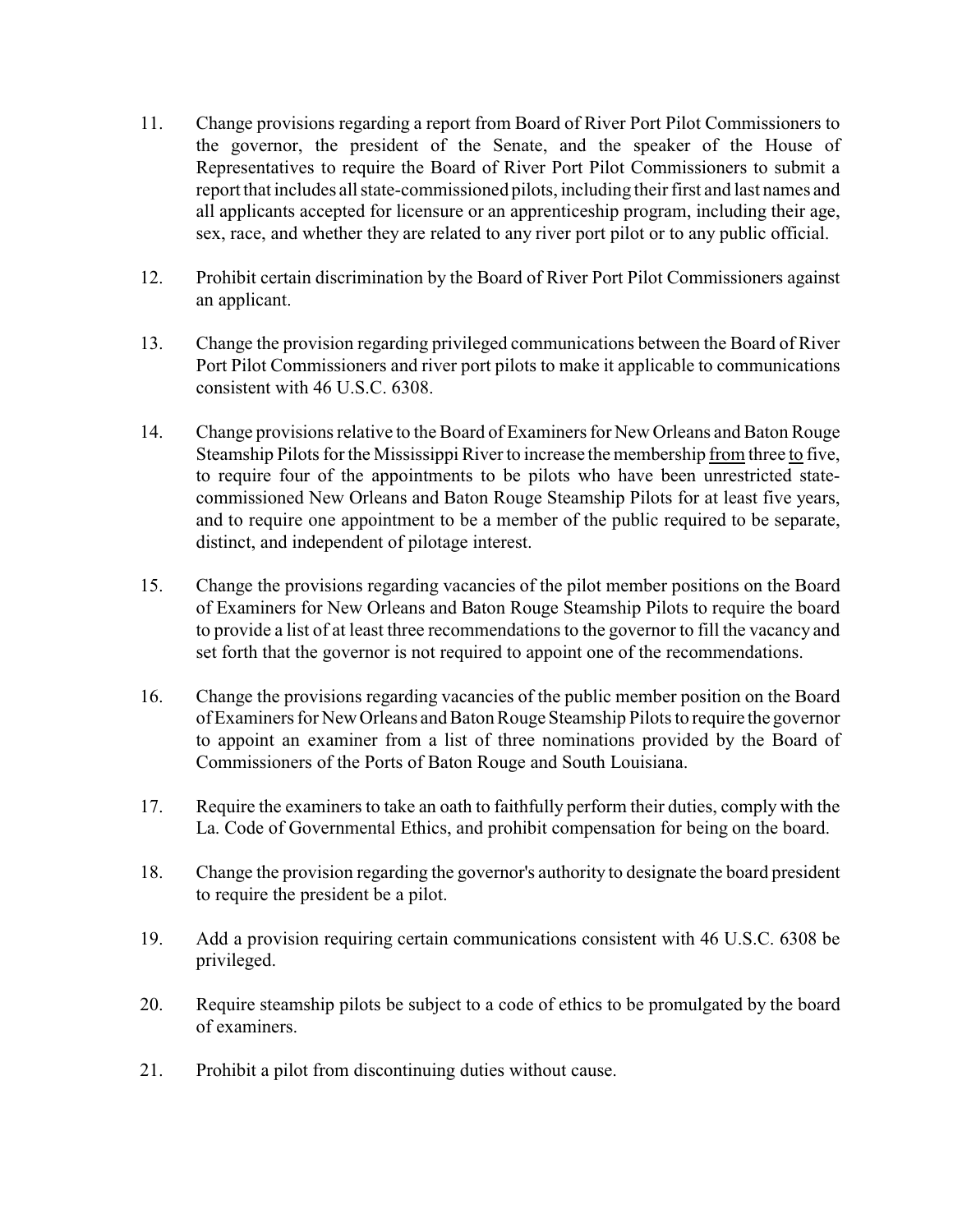- 11. Change provisions regarding a report from Board of River Port Pilot Commissioners to the governor, the president of the Senate, and the speaker of the House of Representatives to require the Board of River Port Pilot Commissioners to submit a report that includes all state-commissioned pilots, including their first and last names and all applicants accepted for licensure or an apprenticeship program, including their age, sex, race, and whether they are related to any river port pilot or to any public official.
- 12. Prohibit certain discrimination by the Board of River Port Pilot Commissioners against an applicant.
- 13. Change the provision regarding privileged communications between the Board of River Port Pilot Commissioners and river port pilots to make it applicable to communications consistent with 46 U.S.C. 6308.
- 14. Change provisions relative to the Board of Examiners for New Orleans and Baton Rouge Steamship Pilots for the Mississippi River to increase the membership from three to five, to require four of the appointments to be pilots who have been unrestricted statecommissioned New Orleans and Baton Rouge Steamship Pilots for at least five years, and to require one appointment to be a member of the public required to be separate, distinct, and independent of pilotage interest.
- 15. Change the provisions regarding vacancies of the pilot member positions on the Board of Examiners for New Orleans and Baton Rouge Steamship Pilots to require the board to provide a list of at least three recommendations to the governor to fill the vacancy and set forth that the governor is not required to appoint one of the recommendations.
- 16. Change the provisions regarding vacancies of the public member position on the Board of Examiners for New Orleans and Baton Rouge Steamship Pilots to require the governor to appoint an examiner from a list of three nominations provided by the Board of Commissioners of the Ports of Baton Rouge and South Louisiana.
- 17. Require the examiners to take an oath to faithfully perform their duties, comply with the La. Code of Governmental Ethics, and prohibit compensation for being on the board.
- 18. Change the provision regarding the governor's authority to designate the board president to require the president be a pilot.
- 19. Add a provision requiring certain communications consistent with 46 U.S.C. 6308 be privileged.
- 20. Require steamship pilots be subject to a code of ethics to be promulgated by the board of examiners.
- 21. Prohibit a pilot from discontinuing duties without cause.